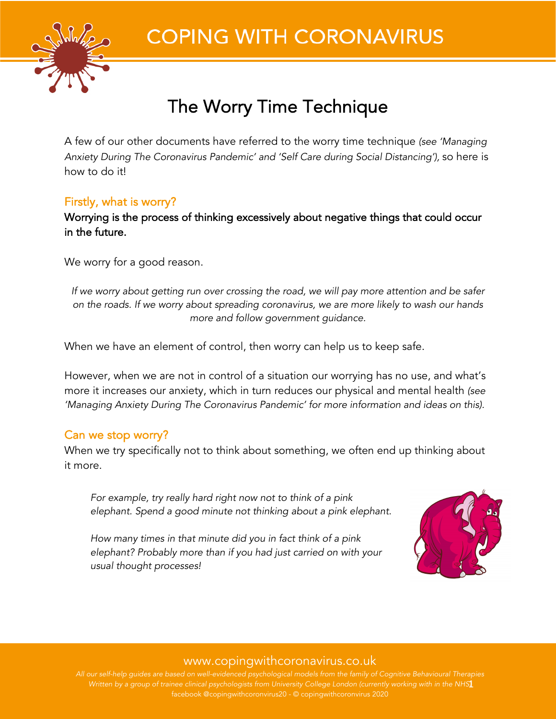

# **COPING WITH CORONAVIRUS**

# The Worry Time Technique

A few of our other documents have referred to the worry time technique *(see 'Managing Anxiety During The Coronavirus Pandemic' and 'Self Care during Social Distancing'),* so here is how to do it!

# Firstly, what is worry?

Worrying is the process of thinking excessively about negative things that could occur in the future.

We worry for a good reason.

*If we worry about getting run over crossing the road, we will pay more attention and be safer on the roads. If we worry about spreading coronavirus, we are more likely to wash our hands more and follow government guidance.*

When we have an element of control, then worry can help us to keep safe.

However, when we are not in control of a situation our worrying has no use, and what's more it increases our anxiety, which in turn reduces our physical and mental health *(see 'Managing Anxiety During The Coronavirus Pandemic' for more information and ideas on this).*

# Can we stop worry?

When we try specifically not to think about something, we often end up thinking about it more.

*For example, try really hard right now not to think of a pink elephant. Spend a good minute not thinking about a pink elephant.*

*How many times in that minute did you in fact think of a pink elephant? Probably more than if you had just carried on with your usual thought processes!*



# www.copingwithcoronavirus.co.uk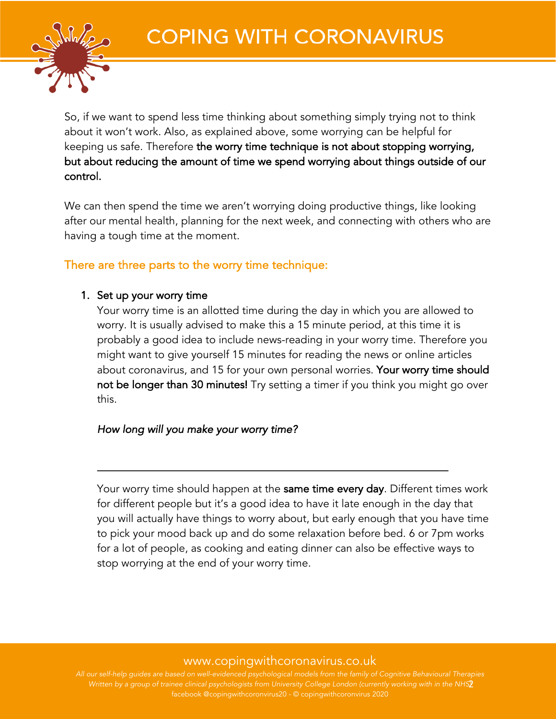

So, if we want to spend less time thinking about something simply trying not to think about it won't work. Also, as explained above, some worrying can be helpful for keeping us safe. Therefore the worry time technique is not about stopping worrying, but about reducing the amount of time we spend worrying about things outside of our control.

We can then spend the time we aren't worrying doing productive things, like looking after our mental health, planning for the next week, and connecting with others who are having a tough time at the moment.

## There are three parts to the worry time technique:

#### 1. Set up your worry time

Your worry time is an allotted time during the day in which you are allowed to worry. It is usually advised to make this a 15 minute period, at this time it is probably a good idea to include news-reading in your worry time. Therefore you might want to give yourself 15 minutes for reading the news or online articles about coronavirus, and 15 for your own personal worries. Your worry time should not be longer than 30 minutes! Try setting a timer if you think you might go over this.

#### *How long will you make your worry time?*

Your worry time should happen at the same time every day. Different times work for different people but it's a good idea to have it late enough in the day that you will actually have things to worry about, but early enough that you have time to pick your mood back up and do some relaxation before bed. 6 or 7pm works for a lot of people, as cooking and eating dinner can also be effective ways to stop worrying at the end of your worry time.

## www.copingwithcoronavirus.co.uk

Written by a group of trainee clinical psychologists from University College London (currently working with in the NHS<mark>2</mark>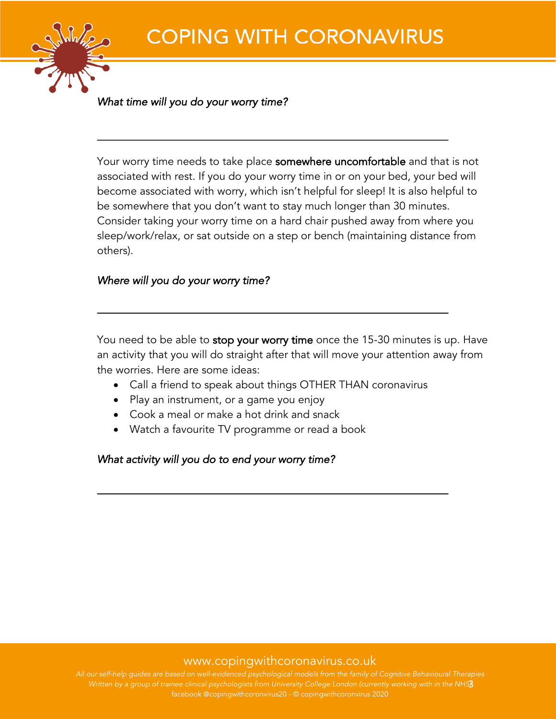

*What time will you do your worry time?* 

Your worry time needs to take place somewhere uncomfortable and that is not associated with rest. If you do your worry time in or on your bed, your bed will become associated with worry, which isn't helpful for sleep! It is also helpful to be somewhere that you don't want to stay much longer than 30 minutes. Consider taking your worry time on a hard chair pushed away from where you sleep/work/relax, or sat outside on a step or bench (maintaining distance from others).

#### *Where will you do your worry time?*

You need to be able to stop your worry time once the 15-30 minutes is up. Have an activity that you will do straight after that will move your attention away from the worries. Here are some ideas:

- Call a friend to speak about things OTHER THAN coronavirus
- Play an instrument, or a game you enjoy
- Cook a meal or make a hot drink and snack
- Watch a favourite TV programme or read a book

*What activity will you do to end your worry time?* 

#### www.copingwithcoronavirus.co.uk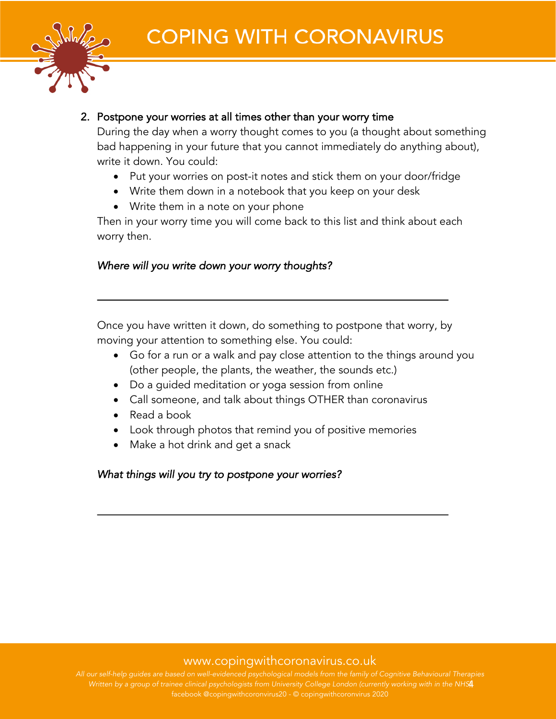

### 2. Postpone your worries at all times other than your worry time

During the day when a worry thought comes to you (a thought about something bad happening in your future that you cannot immediately do anything about), write it down. You could:

- Put your worries on post-it notes and stick them on your door/fridge
- Write them down in a notebook that you keep on your desk
- Write them in a note on your phone

Then in your worry time you will come back to this list and think about each worry then.

## *Where will you write down your worry thoughts?*

Once you have written it down, do something to postpone that worry, by moving your attention to something else. You could:

- Go for a run or a walk and pay close attention to the things around you (other people, the plants, the weather, the sounds etc.)
- Do a guided meditation or yoga session from online
- Call someone, and talk about things OTHER than coronavirus
- Read a book
- Look through photos that remind you of positive memories
- Make a hot drink and get a snack

#### *What things will you try to postpone your worries?*

## www.copingwithcoronavirus.co.uk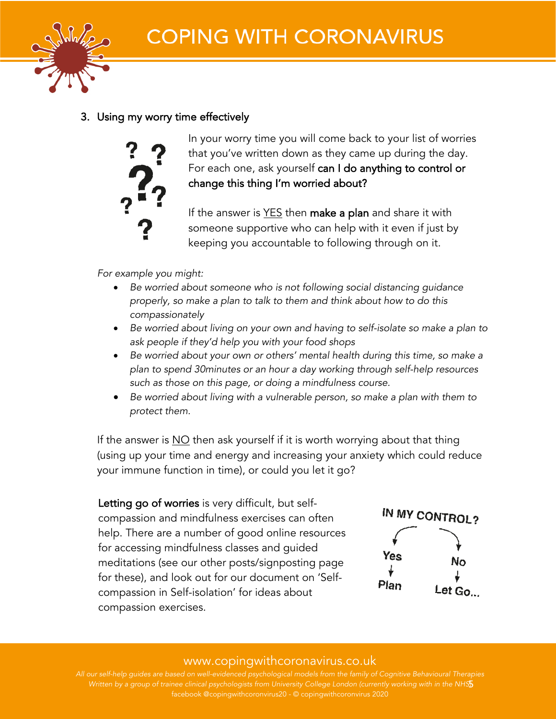

## 3. Using my worry time effectively



In your worry time you will come back to your list of worries that you've written down as they came up during the day. For each one, ask yourself can I do anything to control or change this thing I'm worried about?

If the answer is YES then make a plan and share it with someone supportive who can help with it even if just by keeping you accountable to following through on it.

*For example you might:*

- *Be worried about someone who is not following social distancing guidance properly, so make a plan to talk to them and think about how to do this compassionately*
- *Be worried about living on your own and having to self-isolate so make a plan to ask people if they'd help you with your food shops*
- *Be worried about your own or others' mental health during this time, so make a plan to spend 30minutes or an hour a day working through self-help resources such as those on this page, or doing a mindfulness course.*
- *Be worried about living with a vulnerable person, so make a plan with them to protect them.*

If the answer is NO then ask yourself if it is worth worrying about that thing (using up your time and energy and increasing your anxiety which could reduce your immune function in time), or could you let it go?

Letting go of worries is very difficult, but selfcompassion and mindfulness exercises can often help. There are a number of good online resources for accessing mindfulness classes and guided meditations (see our other posts/signposting page for these), and look out for our document on 'Selfcompassion in Self-isolation' for ideas about compassion exercises.



## www.copingwithcoronavirus.co.uk

*Written by a group of trainee clinical psychologists from University College London (currently working with in the NHS)* 5